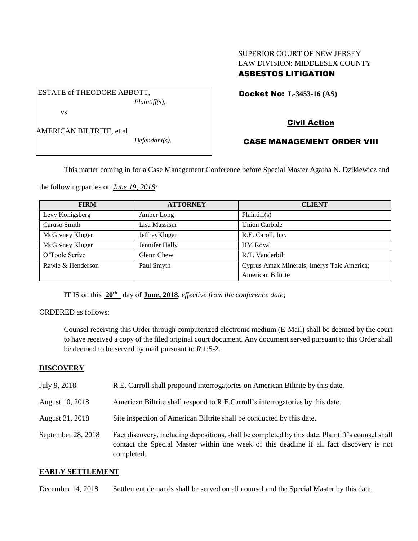# SUPERIOR COURT OF NEW JERSEY LAW DIVISION: MIDDLESEX COUNTY ASBESTOS LITIGATION

Docket No: **L-3453-16 (AS)** 

vs.

AMERICAN BILTRITE, et al

ESTATE of THEODORE ABBOTT,

*Defendant(s).*

*Plaintiff(s),*

# Civil Action

## CASE MANAGEMENT ORDER VIII

This matter coming in for a Case Management Conference before Special Master Agatha N. Dzikiewicz and

the following parties on *June 19, 2018:*

| <b>FIRM</b>       | <b>ATTORNEY</b> | <b>CLIENT</b>                              |
|-------------------|-----------------|--------------------------------------------|
| Levy Konigsberg   | Amber Long      | Plaintiff(s)                               |
| Caruso Smith      | Lisa Massism    | <b>Union Carbide</b>                       |
| McGivney Kluger   | JeffreyKluger   | R.E. Caroll, Inc.                          |
| McGivney Kluger   | Jennifer Hally  | <b>HM</b> Royal                            |
| O'Toole Scrivo    | Glenn Chew      | R.T. Vanderbilt                            |
| Rawle & Henderson | Paul Smyth      | Cyprus Amax Minerals; Imerys Talc America; |
|                   |                 | American Biltrite                          |

IT IS on this **20th** day of **June, 2018**, *effective from the conference date;*

ORDERED as follows:

Counsel receiving this Order through computerized electronic medium (E-Mail) shall be deemed by the court to have received a copy of the filed original court document. Any document served pursuant to this Order shall be deemed to be served by mail pursuant to *R*.1:5-2.

## **DISCOVERY**

| July 9, 2018       | R.E. Carroll shall propound interrogatories on American Biltrite by this date.                                                                                                                              |
|--------------------|-------------------------------------------------------------------------------------------------------------------------------------------------------------------------------------------------------------|
| August 10, 2018    | American Biltrite shall respond to R.E.Carroll's interrogatories by this date.                                                                                                                              |
| August 31, 2018    | Site inspection of American Biltrite shall be conducted by this date.                                                                                                                                       |
| September 28, 2018 | Fact discovery, including depositions, shall be completed by this date. Plaintiff's counsel shall<br>contact the Special Master within one week of this deadline if all fact discovery is not<br>completed. |

## **EARLY SETTLEMENT**

December 14, 2018 Settlement demands shall be served on all counsel and the Special Master by this date.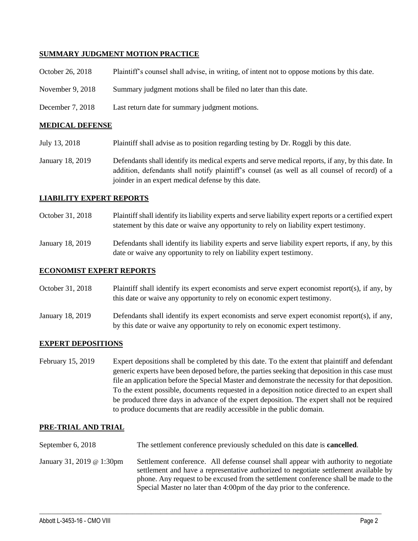#### **SUMMARY JUDGMENT MOTION PRACTICE**

| October 26, 2018 | Plaintiff's counsel shall advise, in writing, of intent not to oppose motions by this date. |
|------------------|---------------------------------------------------------------------------------------------|
| November 9, 2018 | Summary judgment motions shall be filed no later than this date.                            |
| December 7, 2018 | Last return date for summary judgment motions.                                              |

#### **MEDICAL DEFENSE**

- July 13, 2018 Plaintiff shall advise as to position regarding testing by Dr. Roggli by this date.
- January 18, 2019 Defendants shall identify its medical experts and serve medical reports, if any, by this date. In addition, defendants shall notify plaintiff's counsel (as well as all counsel of record) of a joinder in an expert medical defense by this date.

#### **LIABILITY EXPERT REPORTS**

- October 31, 2018 Plaintiff shall identify its liability experts and serve liability expert reports or a certified expert statement by this date or waive any opportunity to rely on liability expert testimony.
- January 18, 2019 Defendants shall identify its liability experts and serve liability expert reports, if any, by this date or waive any opportunity to rely on liability expert testimony.

#### **ECONOMIST EXPERT REPORTS**

| October 31, 2018 | Plaintiff shall identify its expert economists and serve expert economist report(s), if any, by |
|------------------|-------------------------------------------------------------------------------------------------|
|                  | this date or waive any opportunity to rely on economic expert testimony.                        |

January 18, 2019 Defendants shall identify its expert economists and serve expert economist report(s), if any, by this date or waive any opportunity to rely on economic expert testimony.

#### **EXPERT DEPOSITIONS**

February 15, 2019 Expert depositions shall be completed by this date. To the extent that plaintiff and defendant generic experts have been deposed before, the parties seeking that deposition in this case must file an application before the Special Master and demonstrate the necessity for that deposition. To the extent possible, documents requested in a deposition notice directed to an expert shall be produced three days in advance of the expert deposition. The expert shall not be required to produce documents that are readily accessible in the public domain.

#### **PRE-TRIAL AND TRIAL**

- September 6, 2018 The settlement conference previously scheduled on this date is **cancelled**.
- January 31, 2019 @ 1:30pm Settlement conference. All defense counsel shall appear with authority to negotiate settlement and have a representative authorized to negotiate settlement available by phone. Any request to be excused from the settlement conference shall be made to the Special Master no later than 4:00pm of the day prior to the conference.

 $\_$  ,  $\_$  ,  $\_$  ,  $\_$  ,  $\_$  ,  $\_$  ,  $\_$  ,  $\_$  ,  $\_$  ,  $\_$  ,  $\_$  ,  $\_$  ,  $\_$  ,  $\_$  ,  $\_$  ,  $\_$  ,  $\_$  ,  $\_$  ,  $\_$  ,  $\_$  ,  $\_$  ,  $\_$  ,  $\_$  ,  $\_$  ,  $\_$  ,  $\_$  ,  $\_$  ,  $\_$  ,  $\_$  ,  $\_$  ,  $\_$  ,  $\_$  ,  $\_$  ,  $\_$  ,  $\_$  ,  $\_$  ,  $\_$  ,